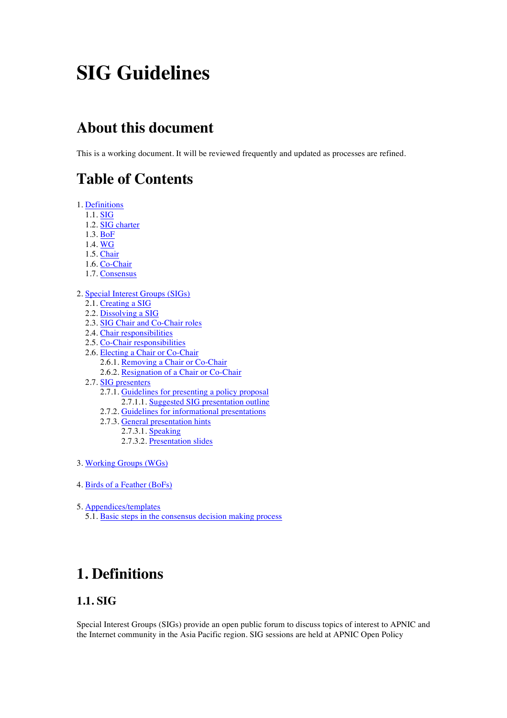# **SIG Guidelines**

## **About this document**

This is a working document. It will be reviewed frequently and updated as processes are refined.

## **Table of Contents**

- 1. Definitions
	- 1.1. SIG
	- 1.2. SIG charter
	- 1.3. BoF
	- 1.4. WG
	- 1.5. Chair
	- 1.6. Co-Chair
	- 1.7. Consensus
- 2. Special Interest Groups (SIGs)
	- 2.1. Creating a SIG
	- 2.2. Dissolving a SIG
	- 2.3. SIG Chair and Co-Chair roles
	- 2.4. Chair responsibilities
	- 2.5. Co-Chair responsibilities
	- 2.6. Electing a Chair or Co-Chair
		- 2.6.1. Removing a Chair or Co-Chair
		- 2.6.2. Resignation of a Chair or Co-Chair
	- 2.7. SIG presenters
		- 2.7.1. Guidelines for presenting a policy proposal
		- 2.7.1.1. Suggested SIG presentation outline
		- 2.7.2. Guidelines for informational presentations
		- 2.7.3. General presentation hints
			- 2.7.3.1. **Speaking**
			- 2.7.3.2. Presentation slides
- 3. Working Groups (WGs)
- 4. Birds of a Feather (BoFs)
- 5. Appendices/templates
	- 5.1. Basic steps in the consensus decision making process

## **1. Definitions**

## **1.1. SIG**

Special Interest Groups (SIGs) provide an open public forum to discuss topics of interest to APNIC and the Internet community in the Asia Pacific region. SIG sessions are held at APNIC Open Policy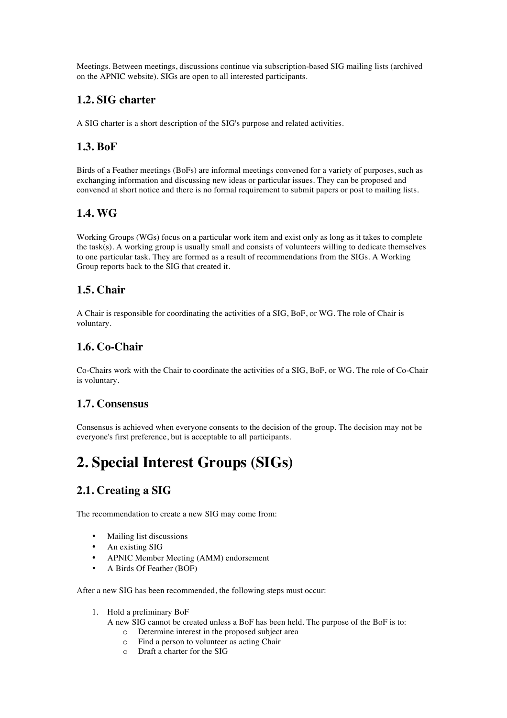Meetings. Between meetings, discussions continue via subscription-based SIG mailing lists (archived on the APNIC website). SIGs are open to all interested participants.

## **1.2. SIG charter**

A SIG charter is a short description of the SIG's purpose and related activities.

## **1.3. BoF**

Birds of a Feather meetings (BoFs) are informal meetings convened for a variety of purposes, such as exchanging information and discussing new ideas or particular issues. They can be proposed and convened at short notice and there is no formal requirement to submit papers or post to mailing lists.

## **1.4. WG**

Working Groups (WGs) focus on a particular work item and exist only as long as it takes to complete the task(s). A working group is usually small and consists of volunteers willing to dedicate themselves to one particular task. They are formed as a result of recommendations from the SIGs. A Working Group reports back to the SIG that created it.

## **1.5. Chair**

A Chair is responsible for coordinating the activities of a SIG, BoF, or WG. The role of Chair is voluntary.

## **1.6. Co-Chair**

Co-Chairs work with the Chair to coordinate the activities of a SIG, BoF, or WG. The role of Co-Chair is voluntary.

### **1.7. Consensus**

Consensus is achieved when everyone consents to the decision of the group. The decision may not be everyone's first preference, but is acceptable to all participants.

## **2. Special Interest Groups (SIGs)**

## **2.1. Creating a SIG**

The recommendation to create a new SIG may come from:

- Mailing list discussions
- An existing SIG
- APNIC Member Meeting (AMM) endorsement
- A Birds Of Feather (BOF)

After a new SIG has been recommended, the following steps must occur:

- 1. Hold a preliminary BoF
	- A new SIG cannot be created unless a BoF has been held. The purpose of the BoF is to:
		- o Determine interest in the proposed subject area
		- o Find a person to volunteer as acting Chair
		- o Draft a charter for the SIG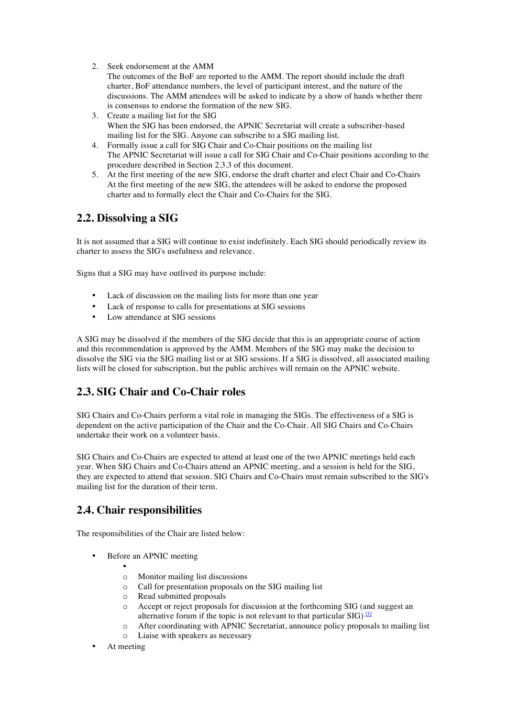2. Seek endorsement at the AMM

The outcomes of the BoF are reported to the AMM. The report should include the draft charter, BoF attendance numbers, the level of participant interest, and the nature of the discussions. The AMM attendees will be asked to indicate by a show of hands whether there is consensus to endorse the formation of the new SIG.

- 3. Create a mailing list for the SIG When the SIG has been endorsed, the APNIC Secretariat will create a subscriber-based mailing list for the SIG. Anyone can subscribe to a SIG mailing list.
- 4. Formally issue a call for SIG Chair and Co-Chair positions on the mailing list The APNIC Secretariat will issue a call for SIG Chair and Co-Chair positions according to the procedure described in Section 2.3.3 of this document.
- 5. At the first meeting of the new SIG, endorse the draft charter and elect Chair and Co-Chairs At the first meeting of the new SIG, the attendees will be asked to endorse the proposed charter and to formally elect the Chair and Co-Chairs for the SIG.

## **2.2. Dissolving a SIG**

It is not assumed that a SIG will continue to exist indefinitely. Each SIG should periodically review its charter to assess the SIG's usefulness and relevance.

Signs that a SIG may have outlived its purpose include:

- Lack of discussion on the mailing lists for more than one year
- Lack of response to calls for presentations at SIG sessions
- Low attendance at SIG sessions

A SIG may be dissolved if the members of the SIG decide that this is an appropriate course of action and this recommendation is approved by the AMM. Members of the SIG may make the decision to dissolve the SIG via the SIG mailing list or at SIG sessions. If a SIG is dissolved, all associated mailing lists will be closed for subscription, but the public archives will remain on the APNIC website.

### **2.3. SIG Chair and Co-Chair roles**

SIG Chairs and Co-Chairs perform a vital role in managing the SIGs. The effectiveness of a SIG is dependent on the active participation of the Chair and the Co-Chair. All SIG Chairs and Co-Chairs undertake their work on a volunteer basis.

SIG Chairs and Co-Chairs are expected to attend at least one of the two APNIC meetings held each year. When SIG Chairs and Co-Chairs attend an APNIC meeting, and a session is held for the SIG, they are expected to attend that session. SIG Chairs and Co-Chairs must remain subscribed to the SIG's mailing list for the duration of their term.

### **2.4. Chair responsibilities**

The responsibilities of the Chair are listed below:

- Before an APNIC meeting
	- o Monitor mailing list discussions
	- o Call for presentation proposals on the SIG mailing list
	- o Read submitted proposals
	- o Accept or reject proposals for discussion at the forthcoming SIG (and suggest an alternative forum if the topic is not relevant to that particular SIG)  $\Box$
	- o After coordinating with APNIC Secretariat, announce policy proposals to mailing list
	- o Liaise with speakers as necessary
- At meeting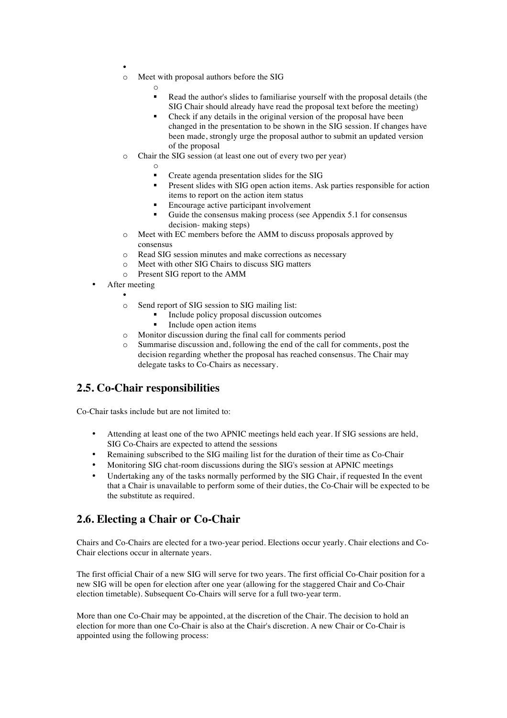- o Meet with proposal authors before the SIG
	- o
	- Read the author's slides to familiarise yourself with the proposal details (the SIG Chair should already have read the proposal text before the meeting)
	- Check if any details in the original version of the proposal have been changed in the presentation to be shown in the SIG session. If changes have been made, strongly urge the proposal author to submit an updated version of the proposal
- o Chair the SIG session (at least one out of every two per year)
	- o
	- § Create agenda presentation slides for the SIG
	- § Present slides with SIG open action items. Ask parties responsible for action items to report on the action item status
	- Encourage active participant involvement
	- Guide the consensus making process (see Appendix 5.1 for consensus decision- making steps)
- o Meet with EC members before the AMM to discuss proposals approved by consensus
- o Read SIG session minutes and make corrections as necessary
- o Meet with other SIG Chairs to discuss SIG matters
- o Present SIG report to the AMM
- After meeting
	- o Send report of SIG session to SIG mailing list:
		- § Include policy proposal discussion outcomes
		- Include open action items
	- o Monitor discussion during the final call for comments period
	- o Summarise discussion and, following the end of the call for comments, post the decision regarding whether the proposal has reached consensus. The Chair may delegate tasks to Co-Chairs as necessary.

### **2.5. Co-Chair responsibilities**

Co-Chair tasks include but are not limited to:

- Attending at least one of the two APNIC meetings held each year. If SIG sessions are held, SIG Co-Chairs are expected to attend the sessions
- Remaining subscribed to the SIG mailing list for the duration of their time as Co-Chair
- Monitoring SIG chat-room discussions during the SIG's session at APNIC meetings
- Undertaking any of the tasks normally performed by the SIG Chair, if requested In the event that a Chair is unavailable to perform some of their duties, the Co-Chair will be expected to be the substitute as required.

### **2.6. Electing a Chair or Co-Chair**

Chairs and Co-Chairs are elected for a two-year period. Elections occur yearly. Chair elections and Co-Chair elections occur in alternate years.

The first official Chair of a new SIG will serve for two years. The first official Co-Chair position for a new SIG will be open for election after one year (allowing for the staggered Chair and Co-Chair election timetable). Subsequent Co-Chairs will serve for a full two-year term.

More than one Co-Chair may be appointed, at the discretion of the Chair. The decision to hold an election for more than one Co-Chair is also at the Chair's discretion. A new Chair or Co-Chair is appointed using the following process: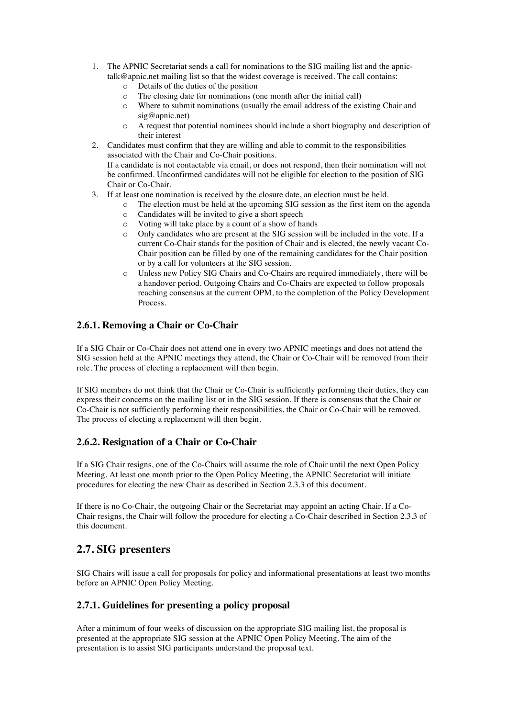- 1. The APNIC Secretariat sends a call for nominations to the SIG mailing list and the apnictalk@apnic.net mailing list so that the widest coverage is received. The call contains:
	- o Details of the duties of the position
	- o The closing date for nominations (one month after the initial call)
	- o Where to submit nominations (usually the email address of the existing Chair and sig@apnic.net)
	- o A request that potential nominees should include a short biography and description of their interest
- 2. Candidates must confirm that they are willing and able to commit to the responsibilities associated with the Chair and Co-Chair positions. If a candidate is not contactable via email, or does not respond, then their nomination will not be confirmed. Unconfirmed candidates will not be eligible for election to the position of SIG Chair or Co-Chair.
- 3. If at least one nomination is received by the closure date, an election must be held.
	- o The election must be held at the upcoming SIG session as the first item on the agenda
		- o Candidates will be invited to give a short speech
		- o Voting will take place by a count of a show of hands
		- Only candidates who are present at the SIG session will be included in the vote. If a current Co-Chair stands for the position of Chair and is elected, the newly vacant Co-Chair position can be filled by one of the remaining candidates for the Chair position or by a call for volunteers at the SIG session.
		- o Unless new Policy SIG Chairs and Co-Chairs are required immediately, there will be a handover period. Outgoing Chairs and Co-Chairs are expected to follow proposals reaching consensus at the current OPM, to the completion of the Policy Development Process.

#### **2.6.1. Removing a Chair or Co-Chair**

If a SIG Chair or Co-Chair does not attend one in every two APNIC meetings and does not attend the SIG session held at the APNIC meetings they attend, the Chair or Co-Chair will be removed from their role. The process of electing a replacement will then begin.

If SIG members do not think that the Chair or Co-Chair is sufficiently performing their duties, they can express their concerns on the mailing list or in the SIG session. If there is consensus that the Chair or Co-Chair is not sufficiently performing their responsibilities, the Chair or Co-Chair will be removed. The process of electing a replacement will then begin.

#### **2.6.2. Resignation of a Chair or Co-Chair**

If a SIG Chair resigns, one of the Co-Chairs will assume the role of Chair until the next Open Policy Meeting. At least one month prior to the Open Policy Meeting, the APNIC Secretariat will initiate procedures for electing the new Chair as described in Section 2.3.3 of this document.

If there is no Co-Chair, the outgoing Chair or the Secretariat may appoint an acting Chair. If a Co-Chair resigns, the Chair will follow the procedure for electing a Co-Chair described in Section 2.3.3 of this document.

### **2.7. SIG presenters**

SIG Chairs will issue a call for proposals for policy and informational presentations at least two months before an APNIC Open Policy Meeting.

#### **2.7.1. Guidelines for presenting a policy proposal**

After a minimum of four weeks of discussion on the appropriate SIG mailing list, the proposal is presented at the appropriate SIG session at the APNIC Open Policy Meeting. The aim of the presentation is to assist SIG participants understand the proposal text.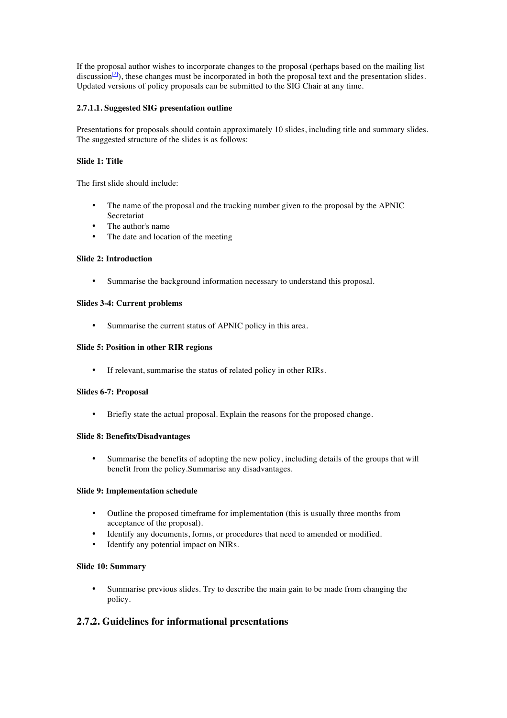If the proposal author wishes to incorporate changes to the proposal (perhaps based on the mailing list discussion<sup>[2]</sup>), these changes must be incorporated in both the proposal text and the presentation slides. Updated versions of policy proposals can be submitted to the SIG Chair at any time.

#### **2.7.1.1. Suggested SIG presentation outline**

Presentations for proposals should contain approximately 10 slides, including title and summary slides. The suggested structure of the slides is as follows:

#### **Slide 1: Title**

The first slide should include:

- The name of the proposal and the tracking number given to the proposal by the APNIC Secretariat
- The author's name
- The date and location of the meeting

#### **Slide 2: Introduction**

• Summarise the background information necessary to understand this proposal.

#### **Slides 3-4: Current problems**

Summarise the current status of APNIC policy in this area.

#### **Slide 5: Position in other RIR regions**

If relevant, summarise the status of related policy in other RIRs.

#### **Slides 6-7: Proposal**

• Briefly state the actual proposal. Explain the reasons for the proposed change.

#### **Slide 8: Benefits/Disadvantages**

• Summarise the benefits of adopting the new policy, including details of the groups that will benefit from the policy.Summarise any disadvantages.

#### **Slide 9: Implementation schedule**

- Outline the proposed timeframe for implementation (this is usually three months from acceptance of the proposal).
- Identify any documents, forms, or procedures that need to amended or modified.
- Identify any potential impact on NIRs.

#### **Slide 10: Summary**

• Summarise previous slides. Try to describe the main gain to be made from changing the policy.

#### **2.7.2. Guidelines for informational presentations**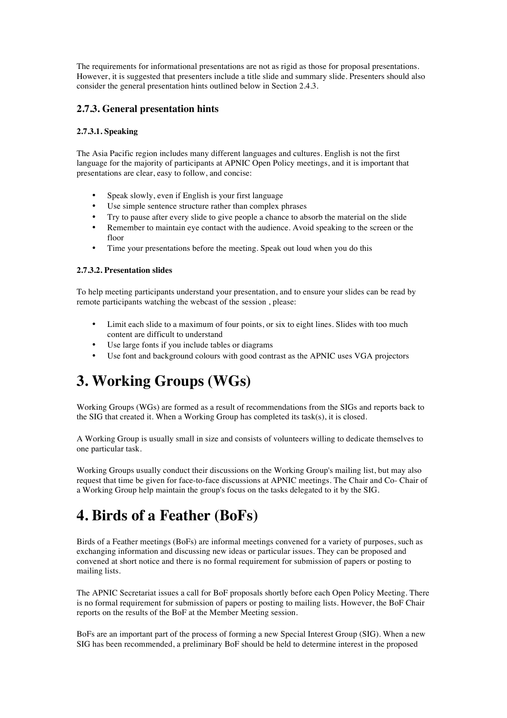The requirements for informational presentations are not as rigid as those for proposal presentations. However, it is suggested that presenters include a title slide and summary slide. Presenters should also consider the general presentation hints outlined below in Section 2.4.3.

#### **2.7.3. General presentation hints**

#### **2.7.3.1. Speaking**

The Asia Pacific region includes many different languages and cultures. English is not the first language for the majority of participants at APNIC Open Policy meetings, and it is important that presentations are clear, easy to follow, and concise:

- Speak slowly, even if English is your first language
- Use simple sentence structure rather than complex phrases
- Try to pause after every slide to give people a chance to absorb the material on the slide
- Remember to maintain eye contact with the audience. Avoid speaking to the screen or the floor
- Time your presentations before the meeting. Speak out loud when you do this

#### **2.7.3.2. Presentation slides**

To help meeting participants understand your presentation, and to ensure your slides can be read by remote participants watching the webcast of the session , please:

- Limit each slide to a maximum of four points, or six to eight lines. Slides with too much content are difficult to understand
- Use large fonts if you include tables or diagrams
- Use font and background colours with good contrast as the APNIC uses VGA projectors

## **3. Working Groups (WGs)**

Working Groups (WGs) are formed as a result of recommendations from the SIGs and reports back to the SIG that created it. When a Working Group has completed its task(s), it is closed.

A Working Group is usually small in size and consists of volunteers willing to dedicate themselves to one particular task.

Working Groups usually conduct their discussions on the Working Group's mailing list, but may also request that time be given for face-to-face discussions at APNIC meetings. The Chair and Co- Chair of a Working Group help maintain the group's focus on the tasks delegated to it by the SIG.

## **4. Birds of a Feather (BoFs)**

Birds of a Feather meetings (BoFs) are informal meetings convened for a variety of purposes, such as exchanging information and discussing new ideas or particular issues. They can be proposed and convened at short notice and there is no formal requirement for submission of papers or posting to mailing lists.

The APNIC Secretariat issues a call for BoF proposals shortly before each Open Policy Meeting. There is no formal requirement for submission of papers or posting to mailing lists. However, the BoF Chair reports on the results of the BoF at the Member Meeting session.

BoFs are an important part of the process of forming a new Special Interest Group (SIG). When a new SIG has been recommended, a preliminary BoF should be held to determine interest in the proposed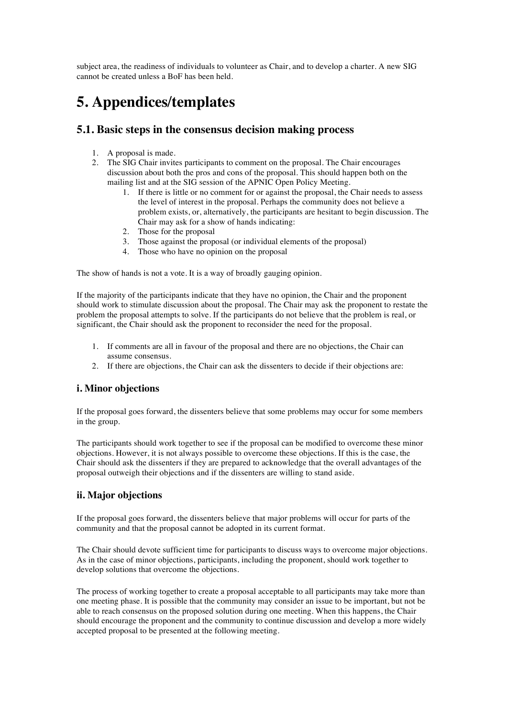subject area, the readiness of individuals to volunteer as Chair, and to develop a charter. A new SIG cannot be created unless a BoF has been held.

## **5. Appendices/templates**

### **5.1. Basic steps in the consensus decision making process**

- 1. A proposal is made.
- 2. The SIG Chair invites participants to comment on the proposal. The Chair encourages discussion about both the pros and cons of the proposal. This should happen both on the mailing list and at the SIG session of the APNIC Open Policy Meeting.
	- 1. If there is little or no comment for or against the proposal, the Chair needs to assess the level of interest in the proposal. Perhaps the community does not believe a problem exists, or, alternatively, the participants are hesitant to begin discussion. The Chair may ask for a show of hands indicating:
	- 2. Those for the proposal
	- 3. Those against the proposal (or individual elements of the proposal)
	- 4. Those who have no opinion on the proposal

The show of hands is not a vote. It is a way of broadly gauging opinion.

If the majority of the participants indicate that they have no opinion, the Chair and the proponent should work to stimulate discussion about the proposal. The Chair may ask the proponent to restate the problem the proposal attempts to solve. If the participants do not believe that the problem is real, or significant, the Chair should ask the proponent to reconsider the need for the proposal.

- 1. If comments are all in favour of the proposal and there are no objections, the Chair can assume consensus.
- 2. If there are objections, the Chair can ask the dissenters to decide if their objections are:

#### **i. Minor objections**

If the proposal goes forward, the dissenters believe that some problems may occur for some members in the group.

The participants should work together to see if the proposal can be modified to overcome these minor objections. However, it is not always possible to overcome these objections. If this is the case, the Chair should ask the dissenters if they are prepared to acknowledge that the overall advantages of the proposal outweigh their objections and if the dissenters are willing to stand aside.

#### **ii. Major objections**

If the proposal goes forward, the dissenters believe that major problems will occur for parts of the community and that the proposal cannot be adopted in its current format.

The Chair should devote sufficient time for participants to discuss ways to overcome major objections. As in the case of minor objections, participants, including the proponent, should work together to develop solutions that overcome the objections.

The process of working together to create a proposal acceptable to all participants may take more than one meeting phase. It is possible that the community may consider an issue to be important, but not be able to reach consensus on the proposed solution during one meeting. When this happens, the Chair should encourage the proponent and the community to continue discussion and develop a more widely accepted proposal to be presented at the following meeting.